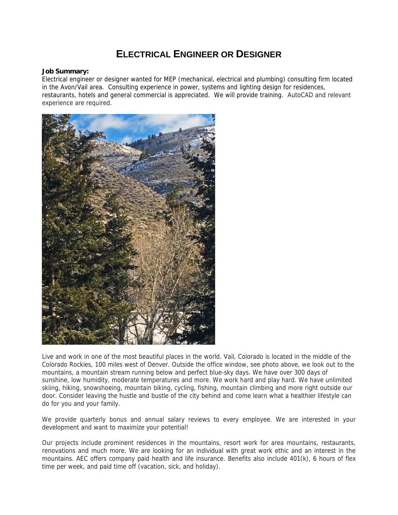## **ELECTRICAL ENGINEER OR DESIGNER**

## **Job Summary:**

Electrical engineer or designer wanted for MEP (mechanical, electrical and plumbing) consulting firm located in the Avon/Vail area. Consulting experience in power, systems and lighting design for residences, restaurants, hotels and general commercial is appreciated. We will provide training. AutoCAD and relevant experience are required.



Live and work in one of the most beautiful places in the world. Vail, Colorado is located in the middle of the Colorado Rockies, 100 miles west of Denver. Outside the office window, see photo above, we look out to the mountains, a mountain stream running below and perfect blue-sky days. We have over 300 days of sunshine, low humidity, moderate temperatures and more. We work hard and play hard. We have unlimited skiing, hiking, snowshoeing, mountain biking, cycling, fishing, mountain climbing and more right outside our door. Consider leaving the hustle and bustle of the city behind and come learn what a healthier lifestyle can do for you and your family.

We provide quarterly bonus and annual salary reviews to every employee. We are interested in your development and want to maximize your potential!

Our projects include prominent residences in the mountains, resort work for area mountains, restaurants, renovations and much more. We are looking for an individual with great work ethic and an interest in the mountains. AEC offers company paid health and life insurance. Benefits also include 401(k), 6 hours of flex time per week, and paid time off (vacation, sick, and holiday).